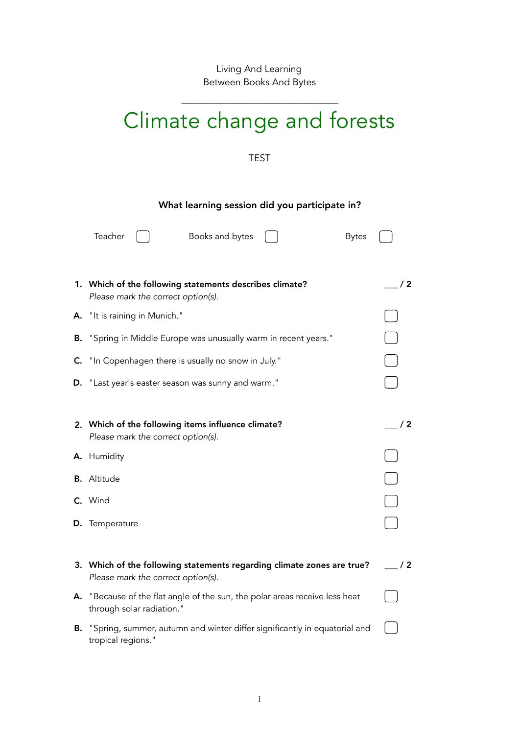Living And Learning Between Books And Bytes

\_\_\_\_\_\_\_\_\_\_\_\_\_\_\_\_\_\_\_\_\_\_\_\_

## Climate change and forests

## TEST

## What learning session did you participate in?

|    | Teacher<br>Books and bytes<br><b>Bytes</b>                                                                   |     |
|----|--------------------------------------------------------------------------------------------------------------|-----|
|    | 1. Which of the following statements describes climate?<br>Please mark the correct option(s).                | /2  |
| А. | "It is raining in Munich."                                                                                   |     |
| В. | "Spring in Middle Europe was unusually warm in recent years."                                                |     |
| C. | "In Copenhagen there is usually no snow in July."                                                            |     |
| D. | "Last year's easter season was sunny and warm."                                                              |     |
|    |                                                                                                              |     |
|    | 2. Which of the following items influence climate?<br>Please mark the correct option(s).                     | /2  |
|    | A. Humidity                                                                                                  |     |
|    | <b>B.</b> Altitude                                                                                           |     |
|    | C. Wind                                                                                                      |     |
|    | D. Temperature                                                                                               |     |
|    |                                                                                                              |     |
|    | 3. Which of the following statements regarding climate zones are true?<br>Please mark the correct option(s). | / 2 |
| А. | "Because of the flat angle of the sun, the polar areas receive less heat<br>through solar radiation."        |     |
| В. | "Spring, summer, autumn and winter differ significantly in equatorial and<br>tropical regions."              |     |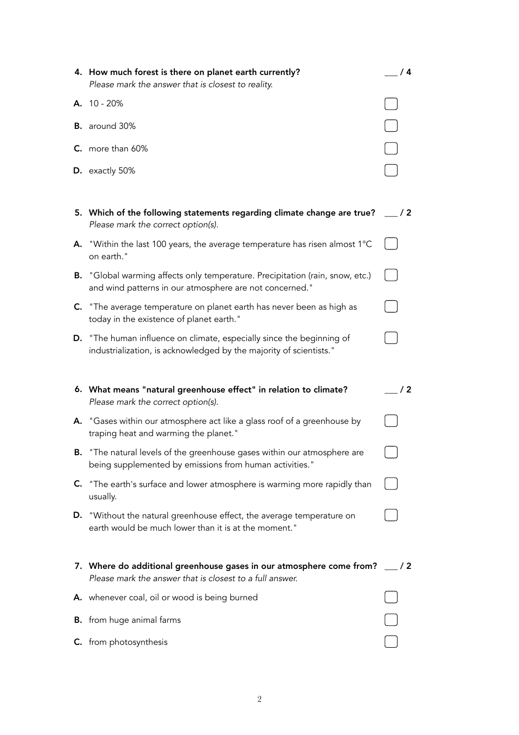|    | 4. How much forest is there on planet earth currently?<br>Please mark the answer that is closest to reality.                             | /4            |
|----|------------------------------------------------------------------------------------------------------------------------------------------|---------------|
|    | A. 10 - 20%                                                                                                                              |               |
|    | <b>B.</b> around 30%                                                                                                                     |               |
|    | $C.$ more than 60%                                                                                                                       |               |
|    | D. exactly 50%                                                                                                                           |               |
|    |                                                                                                                                          |               |
|    | 5. Which of the following statements regarding climate change are true?<br>Please mark the correct option(s).                            | $\frac{1}{2}$ |
| А. | "Within the last 100 years, the average temperature has risen almost 1°C<br>on earth."                                                   |               |
| В. | "Global warming affects only temperature. Precipitation (rain, snow, etc.)<br>and wind patterns in our atmosphere are not concerned."    |               |
|    | C. "The average temperature on planet earth has never been as high as<br>today in the existence of planet earth."                        |               |
| D. | "The human influence on climate, especially since the beginning of<br>industrialization, is acknowledged by the majority of scientists." |               |
|    |                                                                                                                                          |               |
|    |                                                                                                                                          |               |
|    | 6. What means "natural greenhouse effect" in relation to climate?<br>Please mark the correct option(s).                                  | / 2           |
|    | A. "Gases within our atmosphere act like a glass roof of a greenhouse by<br>traping heat and warming the planet."                        |               |
| В. | "The natural levels of the greenhouse gases within our atmosphere are<br>being supplemented by emissions from human activities."         |               |
| C. | "The earth's surface and lower atmosphere is warming more rapidly than<br>usually.                                                       |               |
| D. | "Without the natural greenhouse effect, the average temperature on<br>earth would be much lower than it is at the moment."               |               |
|    | 7. Where do additional greenhouse gases in our atmosphere come from?<br>Please mark the answer that is closest to a full answer.         | $\frac{1}{2}$ |
|    | A. whenever coal, oil or wood is being burned                                                                                            |               |
|    | <b>B.</b> from huge animal farms                                                                                                         |               |